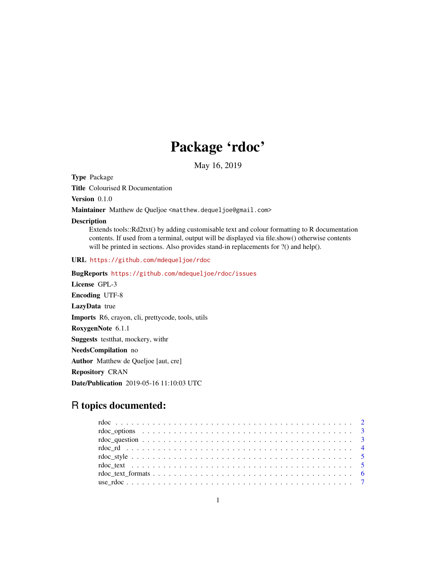# Package 'rdoc'

May 16, 2019

<span id="page-0-0"></span>Type Package

Title Colourised R Documentation

Version 0.1.0

Maintainer Matthew de Queljoe <matthew.dequeljoe@gmail.com>

### Description

Extends tools::Rd2txt() by adding customisable text and colour formatting to R documentation contents. If used from a terminal, output will be displayed via file.show() otherwise contents will be printed in sections. Also provides stand-in replacements for ?() and help().

URL <https://github.com/mdequeljoe/rdoc>

```
BugReports https://github.com/mdequeljoe/rdoc/issues
License GPL-3
Encoding UTF-8
LazyData true
Imports R6, crayon, cli, prettycode, tools, utils
RoxygenNote 6.1.1
Suggests testthat, mockery, withr
NeedsCompilation no
Author Matthew de Queljoe [aut, cre]
Repository CRAN
Date/Publication 2019-05-16 11:10:03 UTC
```
# R topics documented:

| $\text{rdoc\_text\_formats} \dots \dots \dots \dots \dots \dots \dots \dots \dots \dots \dots \dots \dots \dots \dots \dots$ |  |
|------------------------------------------------------------------------------------------------------------------------------|--|
|                                                                                                                              |  |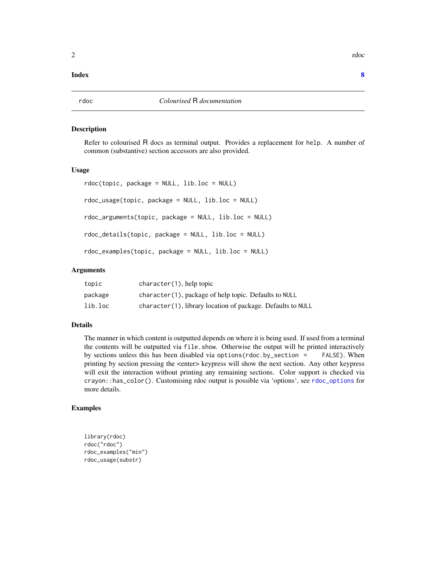# <span id="page-1-0"></span>**Index** [8](#page-7-0) **8**

# **Description**

Refer to colourised R docs as terminal output. Provides a replacement for help. A number of common (substantive) section accessors are also provided.

# Usage

```
rdoc(topic, package = NULL, lib.loc = NULL)
rdoc_usage(topic, package = NULL, lib.loc = NULL)
rdoc_arguments(topic, package = NULL, lib.loc = NULL)
rdoc_details(topic, package = NULL, lib.loc = NULL)
rdoc_examples(topic, package = NULL, lib.loc = NULL)
```
# Arguments

| topic   | $character(1)$ , help topic                                 |
|---------|-------------------------------------------------------------|
| package | character (1), package of help topic. Defaults to NULL      |
| lib.loc | character(1), library location of package. Defaults to NULL |

# Details

The manner in which content is outputted depends on where it is being used. If used from a terminal the contents will be outputted via file.show. Otherwise the output will be printed interactively by sections unless this has been disabled via options(rdoc.by\_section = FALSE). When printing by section pressing the <enter> keypress will show the next section. Any other keypress will exit the interaction without printing any remaining sections. Color support is checked via crayon::has\_color(). Customising rdoc output is possible via 'options', see [rdoc\\_options](#page-2-1) for more details.

# Examples

```
library(rdoc)
rdoc("rdoc")
rdoc_examples("min")
rdoc_usage(substr)
```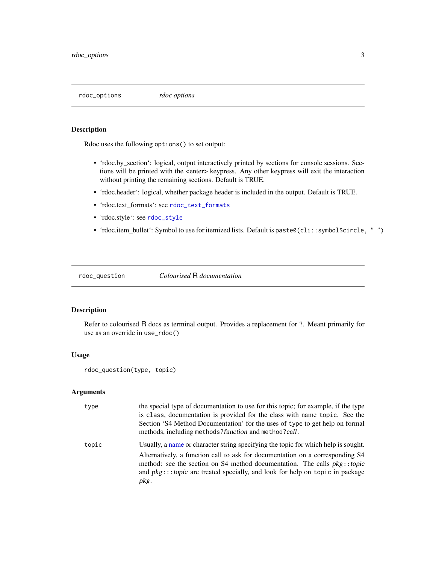<span id="page-2-1"></span><span id="page-2-0"></span>rdoc\_options *rdoc options*

# Description

Rdoc uses the following options() to set output:

- 'rdoc.by\_section': logical, output interactively printed by sections for console sessions. Sections will be printed with the <enter> keypress. Any other keypress will exit the interaction without printing the remaining sections. Default is TRUE.
- 'rdoc.header': logical, whether package header is included in the output. Default is TRUE.
- 'rdoc.text\_formats': see [rdoc\\_text\\_formats](#page-5-1)
- 'rdoc.style': see [rdoc\\_style](#page-4-1)
- 'rdoc.item\_bullet': Symbol to use for itemized lists. Default is paste0(cli::symbol\$circle, "")

rdoc\_question *Colourised* R *documentation*

# Description

Refer to colourised R docs as terminal output. Provides a replacement for ?. Meant primarily for use as an override in use\_rdoc()

# Usage

```
rdoc_question(type, topic)
```
# Arguments

| type  | the special type of documentation to use for this topic; for example, if the type<br>is class, documentation is provided for the class with name topic. See the<br>Section 'S4 Method Documentation' for the uses of type to get help on formal<br>methods, including methods? function and method?call.                                   |
|-------|--------------------------------------------------------------------------------------------------------------------------------------------------------------------------------------------------------------------------------------------------------------------------------------------------------------------------------------------|
| topic | Usually, a name or character string specifying the topic for which help is sought.<br>Alternatively, a function call to ask for documentation on a corresponding S4<br>method: see the section on S4 method documentation. The calls pkg::topic<br>and $pkg$ :::topic are treated specially, and look for help on topic in package<br>pkg. |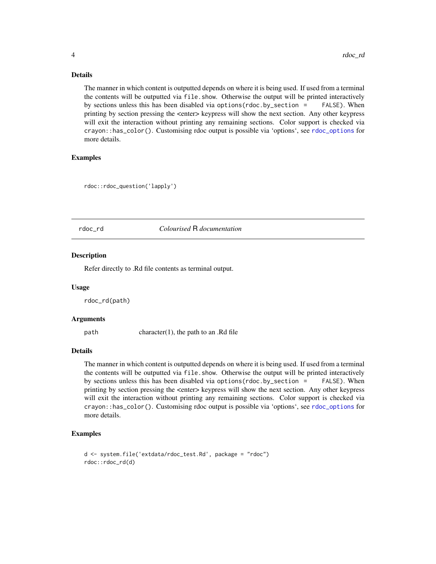# Details

The manner in which content is outputted depends on where it is being used. If used from a terminal the contents will be outputted via file.show. Otherwise the output will be printed interactively by sections unless this has been disabled via options(rdoc.by\_section = FALSE). When printing by section pressing the <enter> keypress will show the next section. Any other keypress will exit the interaction without printing any remaining sections. Color support is checked via crayon::has\_color(). Customising rdoc output is possible via 'options', see [rdoc\\_options](#page-2-1) for more details.

# Examples

rdoc::rdoc\_question('lapply')

# rdoc\_rd *Colourised* R *documentation*

#### Description

Refer directly to .Rd file contents as terminal output.

#### Usage

rdoc\_rd(path)

#### Arguments

path character(1), the path to an .Rd file

# Details

The manner in which content is outputted depends on where it is being used. If used from a terminal the contents will be outputted via file.show. Otherwise the output will be printed interactively by sections unless this has been disabled via options(rdoc.by\_section = FALSE). When printing by section pressing the <enter> keypress will show the next section. Any other keypress will exit the interaction without printing any remaining sections. Color support is checked via crayon::has\_color(). Customising rdoc output is possible via 'options', see [rdoc\\_options](#page-2-1) for more details.

# Examples

```
d <- system.file('extdata/rdoc_test.Rd', package = "rdoc")
rdoc::rdoc_rd(d)
```
<span id="page-3-0"></span>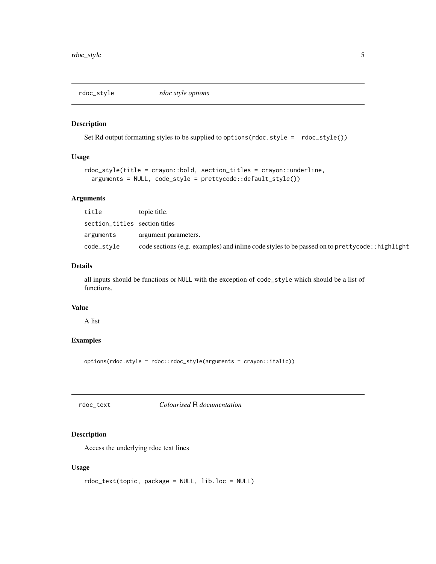<span id="page-4-1"></span><span id="page-4-0"></span>

# Description

Set Rd output formatting styles to be supplied to options(rdoc.style = rdoc\_style())

# Usage

```
rdoc_style(title = crayon::bold, section_titles = crayon::underline,
  arguments = NULL, code_style = prettycode::default_style())
```
# Arguments

| title                         | topic title.                                                                                    |
|-------------------------------|-------------------------------------------------------------------------------------------------|
| section_titles section titles |                                                                                                 |
| arguments                     | argument parameters.                                                                            |
| code_style                    | code sections (e.g. examples) and inline code styles to be passed on to prettycode: : highlight |

# Details

all inputs should be functions or NULL with the exception of code\_style which should be a list of functions.

# Value

A list

# Examples

options(rdoc.style = rdoc::rdoc\_style(arguments = crayon::italic))

rdoc\_text *Colourised* R *documentation*

# Description

Access the underlying rdoc text lines

# Usage

```
rdoc_text(topic, package = NULL, lib.loc = NULL)
```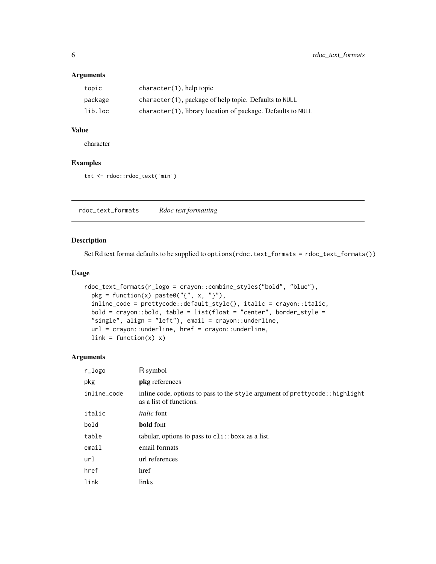# <span id="page-5-0"></span>Arguments

| topic   | $character(1)$ , help topic                                  |
|---------|--------------------------------------------------------------|
| package | character (1), package of help topic. Defaults to NULL       |
| lib.loc | character (1), library location of package. Defaults to NULL |

# Value

character

# Examples

txt <- rdoc::rdoc\_text('min')

<span id="page-5-1"></span>rdoc\_text\_formats *Rdoc text formatting*

# Description

Set Rd text format defaults to be supplied to options(rdoc.text\_formats = rdoc\_text\_formats())

# Usage

```
rdoc_text_formats(r_logo = crayon::combine_styles("bold", "blue"),
 pkg = function(x) paste0("{", x, "}"),
 inline_code = prettycode::default_style(), italic = crayon::italic,
 bold = crayon::bold, table = list(float = "center", borderstyle ="single", align = "left"), email = crayon::underline,
 url = crayon::underline, href = crayon::underline,
 link = function(x) x)
```
# Arguments

| r_logo      | R symbol                                                                                                 |
|-------------|----------------------------------------------------------------------------------------------------------|
| pkg         | <b>pkg</b> references                                                                                    |
| inline_code | in line code, options to pass to the style argument of prettycode:: highlight<br>as a list of functions. |
| italic      | <i>italic</i> font                                                                                       |
| bold        | <b>bold</b> font                                                                                         |
| table       | tabular, options to pass to $\text{cli}: \text{boxx}$ as a list.                                         |
| email       | email formats                                                                                            |
| url         | url references                                                                                           |
| href        | href                                                                                                     |
| link        | links                                                                                                    |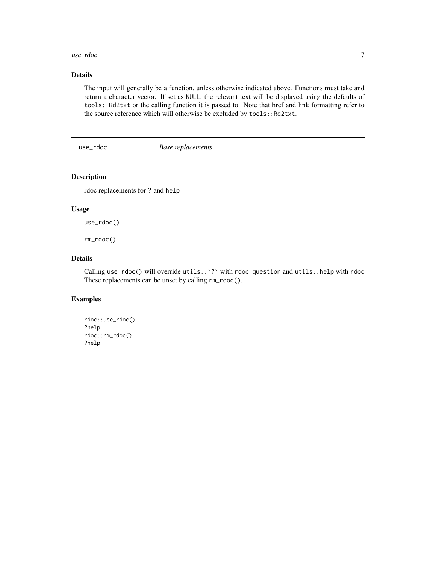# <span id="page-6-0"></span>use\_rdoc 7

# Details

The input will generally be a function, unless otherwise indicated above. Functions must take and return a character vector. If set as NULL, the relevant text will be displayed using the defaults of tools::Rd2txt or the calling function it is passed to. Note that href and link formatting refer to the source reference which will otherwise be excluded by tools:: Rd2txt.

use\_rdoc *Base replacements*

# Description

rdoc replacements for ? and help

# Usage

use\_rdoc()

rm\_rdoc()

# Details

Calling use\_rdoc() will override utils::`?` with rdoc\_question and utils::help with rdoc These replacements can be unset by calling rm\_rdoc().

# Examples

```
rdoc::use_rdoc()
?help
rdoc::rm_rdoc()
?help
```